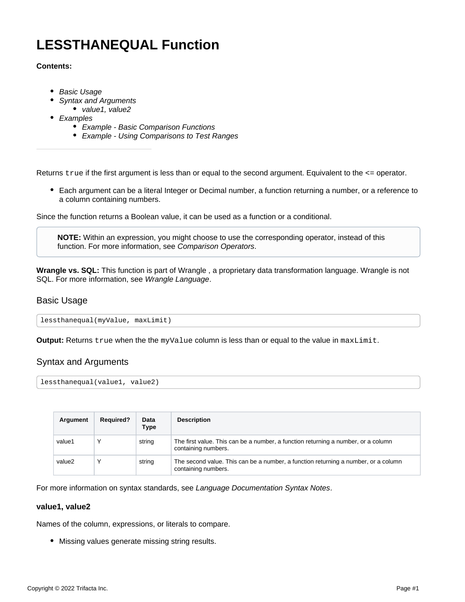# **LESSTHANEQUAL Function**

#### **Contents:**

- [Basic Usage](#page-0-0)
- [Syntax and Arguments](#page-0-1)
- [value1, value2](#page-0-2)
- [Examples](#page-1-0)
	- [Example Basic Comparison Functions](#page-1-1)
	- [Example Using Comparisons to Test Ranges](#page-3-0)

Returns true if the first argument is less than or equal to the second argument. Equivalent to the  $\leq$  operator.

Each argument can be a literal Integer or Decimal number, a function returning a number, or a reference to a column containing numbers.

Since the function returns a Boolean value, it can be used as a function or a conditional.

**NOTE:** Within an expression, you might choose to use the corresponding operator, instead of this function. For more information, see [Comparison Operators](https://docs.trifacta.com/display/AWS/Comparison+Operators).

**Wrangle vs. SQL:** This function is part of Wrangle , a proprietary data transformation language. Wrangle is not SQL. For more information, see [Wrangle Language](https://docs.trifacta.com/display/AWS/Wrangle+Language).

# <span id="page-0-0"></span>Basic Usage

lessthanequal(myValue, maxLimit)

**Output:** Returns true when the the myValue column is less than or equal to the value in maxLimit.

# <span id="page-0-1"></span>Syntax and Arguments

lessthanequal(value1, value2)

| Argument | <b>Required?</b> | Data<br><b>Type</b> | <b>Description</b>                                                                                        |
|----------|------------------|---------------------|-----------------------------------------------------------------------------------------------------------|
| value1   |                  | string              | The first value. This can be a number, a function returning a number, or a column<br>containing numbers.  |
| value2   |                  | string              | The second value. This can be a number, a function returning a number, or a column<br>containing numbers. |

For more information on syntax standards, see [Language Documentation Syntax Notes](https://docs.trifacta.com/display/AWS/Language+Documentation+Syntax+Notes).

# <span id="page-0-2"></span>**value1, value2**

Names of the column, expressions, or literals to compare.

Missing values generate missing string results.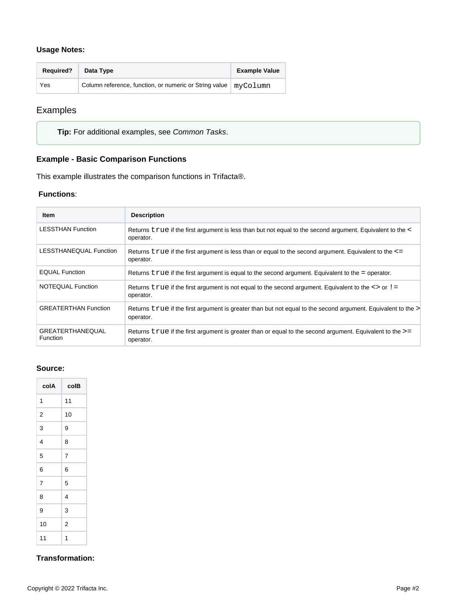# **Usage Notes:**

| <b>Required?</b> | Data Type                                                         | <b>Example Value</b> |
|------------------|-------------------------------------------------------------------|----------------------|
| Yes              | Column reference, function, or numeric or String value   myColumn |                      |

# <span id="page-1-0"></span>Examples

**Tip:** For additional examples, see [Common Tasks](https://docs.trifacta.com/display/AWS/Common+Tasks).

# <span id="page-1-1"></span>**Example - Basic Comparison Functions**

This example illustrates the comparison functions in Trifacta®.

# **Functions**:

| Item                                       | <b>Description</b>                                                                                                        |
|--------------------------------------------|---------------------------------------------------------------------------------------------------------------------------|
| <b>LESSTHAN Function</b>                   | Returns true if the first argument is less than but not equal to the second argument. Equivalent to the <<br>operator.    |
| LESSTHANEQUAL Function                     | Returns $true$ if the first argument is less than or equal to the second argument. Equivalent to the $\le$ =<br>operator. |
| <b>EQUAL Function</b>                      | Returns true if the first argument is equal to the second argument. Equivalent to the = operator.                         |
| NOTEQUAL Function                          | Returns $true$ if the first argument is not equal to the second argument. Equivalent to the $\le$ or $!=$<br>operator.    |
| <b>GREATERTHAN Function</b>                | Returns true if the first argument is greater than but not equal to the second argument. Equivalent to the<br>operator.   |
| <b>GREATERTHANEQUAL</b><br><b>Function</b> | Returns $true$ if the first argument is greater than or equal to the second argument. Equivalent to the $>=$<br>operator. |

#### **Source:**

| colA           | colB |
|----------------|------|
| 1              | 11   |
| $\overline{2}$ | 10   |
| 3              | 9    |
| 4              | 8    |
| 5              | 7    |
| 6              | 6    |
| 7              | 5    |
| 8              | 4    |
| 9              | 3    |
| 10             | 2    |
| 11             | 1    |

# **Transformation:**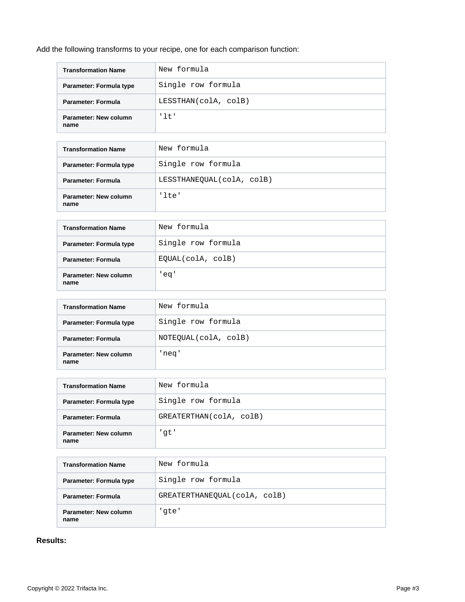Add the following transforms to your recipe, one for each comparison function:

| <b>Transformation Name</b>    | New formula          |
|-------------------------------|----------------------|
| Parameter: Formula type       | Single row formula   |
| Parameter: Formula            | LESSTHAN(colA, colB) |
| Parameter: New column<br>name | '1t'                 |

| <b>Transformation Name</b>    | New formula               |
|-------------------------------|---------------------------|
| Parameter: Formula type       | Single row formula        |
| Parameter: Formula            | LESSTHANEOUAL(colA, colB) |
| Parameter: New column<br>name | 'lte'                     |

| <b>Transformation Name</b>           | New formula        |
|--------------------------------------|--------------------|
| Parameter: Formula type              | Single row formula |
| Parameter: Formula                   | EQUAL(colA, colB)  |
| <b>Parameter: New column</b><br>name | 'eq'               |

| <b>Transformation Name</b>    | New formula          |
|-------------------------------|----------------------|
| Parameter: Formula type       | Single row formula   |
| Parameter: Formula            | NOTEQUAL(colA, colB) |
| Parameter: New column<br>name | 'neq'                |

| <b>Transformation Name</b>    | New formula             |
|-------------------------------|-------------------------|
| Parameter: Formula type       | Single row formula      |
| Parameter: Formula            | GREATERTHAN(colA, colB) |
| Parameter: New column<br>name | 'gt'                    |

| <b>Transformation Name</b>    | New formula                  |
|-------------------------------|------------------------------|
| Parameter: Formula type       | Single row formula           |
| <b>Parameter: Formula</b>     | GREATERTHANEOUAL(colA, colB) |
| Parameter: New column<br>name | 'qte'                        |

# **Results:**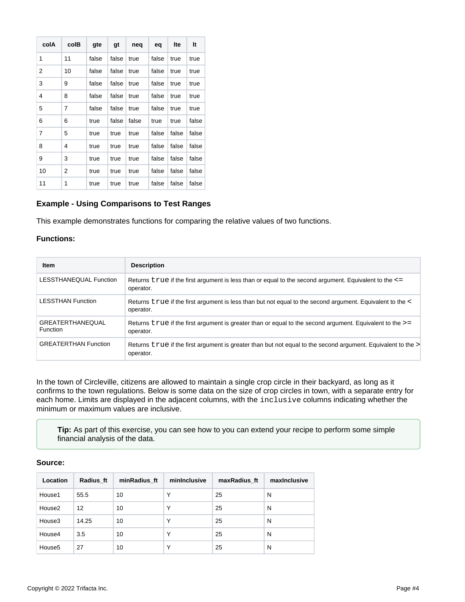| colA | colB           | gte   | gt    | neq   | eq    | Ite   | It    |
|------|----------------|-------|-------|-------|-------|-------|-------|
| 1    | 11             | false | false | true  | false | true  | true  |
| 2    | 10             | false | false | true  | false | true  | true  |
| 3    | 9              | false | false | true  | false | true  | true  |
| 4    | 8              | false | false | true  | false | true  | true  |
| 5    | $\overline{7}$ | false | false | true  | false | true  | true  |
| 6    | 6              | true  | false | false | true  | true  | false |
| 7    | 5              | true  | true  | true  | false | false | false |
| 8    | 4              | true  | true  | true  | false | false | false |
| 9    | 3              | true  | true  | true  | false | false | false |
| 10   | 2              | true  | true  | true  | false | false | false |
| 11   | 1              | true  | true  | true  | false | false | false |

#### <span id="page-3-0"></span>**Example - Using Comparisons to Test Ranges**

This example demonstrates functions for comparing the relative values of two functions.

#### **Functions:**

| Item                                       | <b>Description</b>                                                                                                           |
|--------------------------------------------|------------------------------------------------------------------------------------------------------------------------------|
| LESSTHANEQUAL Function                     | Returns $true$ if the first argument is less than or equal to the second argument. Equivalent to the $\le$ =<br>operator.    |
| <b>LESSTHAN Function</b>                   | Returns true if the first argument is less than but not equal to the second argument. Equivalent to the <<br>operator.       |
| <b>GREATERTHANEQUAL</b><br><b>Function</b> | Returns $true$ if the first argument is greater than or equal to the second argument. Equivalent to the $\ge$ =<br>operator. |
| <b>GREATERTHAN Function</b>                | Returns true if the first argument is greater than but not equal to the second argument. Equivalent to the ><br>operator.    |

In the town of Circleville, citizens are allowed to maintain a single crop circle in their backyard, as long as it confirms to the town regulations. Below is some data on the size of crop circles in town, with a separate entry for each home. Limits are displayed in the adjacent columns, with the inclusive columns indicating whether the minimum or maximum values are inclusive.

**Tip:** As part of this exercise, you can see how to you can extend your recipe to perform some simple financial analysis of the data.

#### **Source:**

| Location           | Radius ft | minRadius ft | minInclusive | maxRadius ft | maxinclusive |
|--------------------|-----------|--------------|--------------|--------------|--------------|
| House1             | 55.5      | 10           | Υ            | 25           | N            |
| House2             | 12        | 10           | Υ            | 25           | N            |
| House3             | 14.25     | 10           | Υ            | 25           | N            |
| House4             | 3.5       | 10           | v            | 25           | N            |
| House <sub>5</sub> | 27        | 10           | v            | 25           | N            |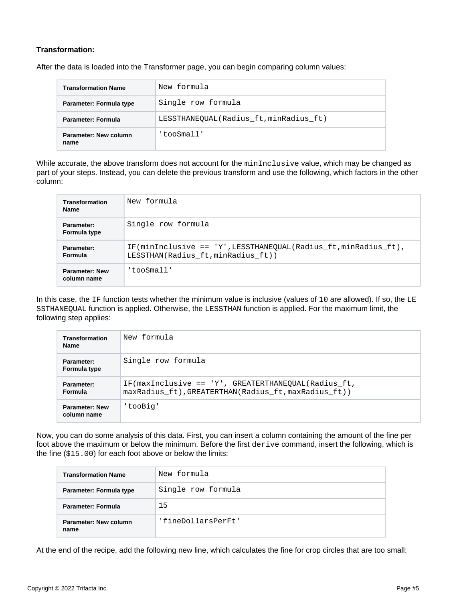# **Transformation:**

After the data is loaded into the Transformer page, you can begin comparing column values:

| <b>Transformation Name</b>    | New formula                            |
|-------------------------------|----------------------------------------|
| Parameter: Formula type       | Single row formula                     |
| <b>Parameter: Formula</b>     | LESSTHANEOUAL(Radius ft, minRadius ft) |
| Parameter: New column<br>name | 'tooSmall'                             |

While accurate, the above transform does not account for the minInclusive value, which may be changed as part of your steps. Instead, you can delete the previous transform and use the following, which factors in the other column:

| <b>Transformation</b><br><b>Name</b> | New formula                                                                                               |
|--------------------------------------|-----------------------------------------------------------------------------------------------------------|
| Parameter:<br>Formula type           | Single row formula                                                                                        |
| Parameter:<br>Formula                | $IF(minInclusive == 'Y', LESSTHANEQUAL(Radius_f t, minRadius_f t),$<br>LESSTHAN(Radius ft, minRadius ft)) |
| <b>Parameter: New</b><br>column name | 'tooSmall'                                                                                                |

In this case, the IF function tests whether the minimum value is inclusive (values of 10 are allowed). If so, the LE SSTHANEQUAL function is applied. Otherwise, the LESSTHAN function is applied. For the maximum limit, the following step applies:

| <b>Transformation</b><br><b>Name</b> | New formula                                                                                                 |
|--------------------------------------|-------------------------------------------------------------------------------------------------------------|
| Parameter:<br>Formula type           | Single row formula                                                                                          |
| Parameter:<br>Formula                | IF(maxInclusive == 'Y', GREATERTHANEOUAL(Radius ft,<br>maxRadius_ft), GREATERTHAN(Radius_ft, maxRadius_ft)) |
| <b>Parameter: New</b><br>column name | 'tooBig'                                                                                                    |

Now, you can do some analysis of this data. First, you can insert a column containing the amount of the fine per foot above the maximum or below the minimum. Before the first derive command, insert the following, which is the fine (\$15.00) for each foot above or below the limits:

| <b>Transformation Name</b>    | New formula        |
|-------------------------------|--------------------|
| Parameter: Formula type       | Single row formula |
| Parameter: Formula            | 15                 |
| Parameter: New column<br>name | 'fineDollarsPerFt' |

At the end of the recipe, add the following new line, which calculates the fine for crop circles that are too small: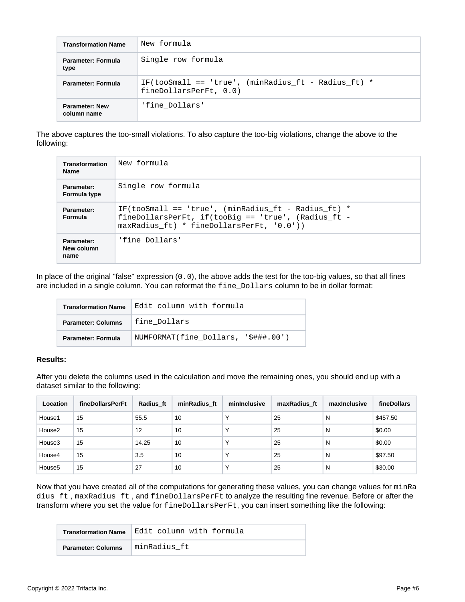| <b>Transformation Name</b>           | New formula                                                                     |
|--------------------------------------|---------------------------------------------------------------------------------|
| Parameter: Formula<br>type           | Single row formula                                                              |
| <b>Parameter: Formula</b>            | IF(tooSmall == 'true', (minRadius ft - Radius ft) $*$<br>fineDollarsPerFt, 0.0) |
| <b>Parameter: New</b><br>column name | 'fine Dollars'                                                                  |

The above captures the too-small violations. To also capture the too-big violations, change the above to the following:

| Transformation<br><b>Name</b>    | New formula                                                                                                                                                   |
|----------------------------------|---------------------------------------------------------------------------------------------------------------------------------------------------------------|
| Parameter:<br>Formula type       | Single row formula                                                                                                                                            |
| Parameter:<br><b>Formula</b>     | IF(tooSmall == 'true', (minRadius ft - Radius ft) $*$<br>fineDollarsPerFt, if(tooBig == 'true', (Radius ft -<br>$maxRadius \t{t} * fineDollarsPerF t, '0.0')$ |
| Parameter:<br>New column<br>name | 'fine Dollars'                                                                                                                                                |

In place of the original "false" expression (0.0), the above adds the test for the too-big values, so that all fines are included in a single column. You can reformat the fine\_Dollars column to be in dollar format:

| <b>Transformation Name</b>                | Edit column with formula            |
|-------------------------------------------|-------------------------------------|
| fine Dollars<br><b>Parameter: Columns</b> |                                     |
| <b>Parameter: Formula</b>                 | NUMFORMAT(fine Dollars, '\$###.00') |

# **Results:**

After you delete the columns used in the calculation and move the remaining ones, you should end up with a dataset similar to the following:

| Location           | fineDollarsPerFt | Radius ft | minRadius ft | mininclusive | maxRadius ft | maxinclusive | fineDollars |
|--------------------|------------------|-----------|--------------|--------------|--------------|--------------|-------------|
| House1             | 15               | 55.5      | 10           |              | 25           | N            | \$457.50    |
| House <sub>2</sub> | 15               | 12        | 10           | $\checkmark$ | 25           | N            | \$0.00      |
| House3             | 15               | 14.25     | 10           | $\checkmark$ | 25           | N            | \$0.00      |
| House4             | 15               | 3.5       | 10           | $\check{ }$  | 25           | N            | \$97.50     |
| House <sub>5</sub> | 15               | 27        | 10           |              | 25           | N            | \$30.00     |

Now that you have created all of the computations for generating these values, you can change values for minRa dius\_ft , maxRadius\_ft , and fineDollarsPerFt to analyze the resulting fine revenue. Before or after the transform where you set the value for fineDollarsPerFt, you can insert something like the following:

| <b>Transformation Name</b> | Edit column with formula |
|----------------------------|--------------------------|
| <b>Parameter: Columns</b>  | minRadius ft             |